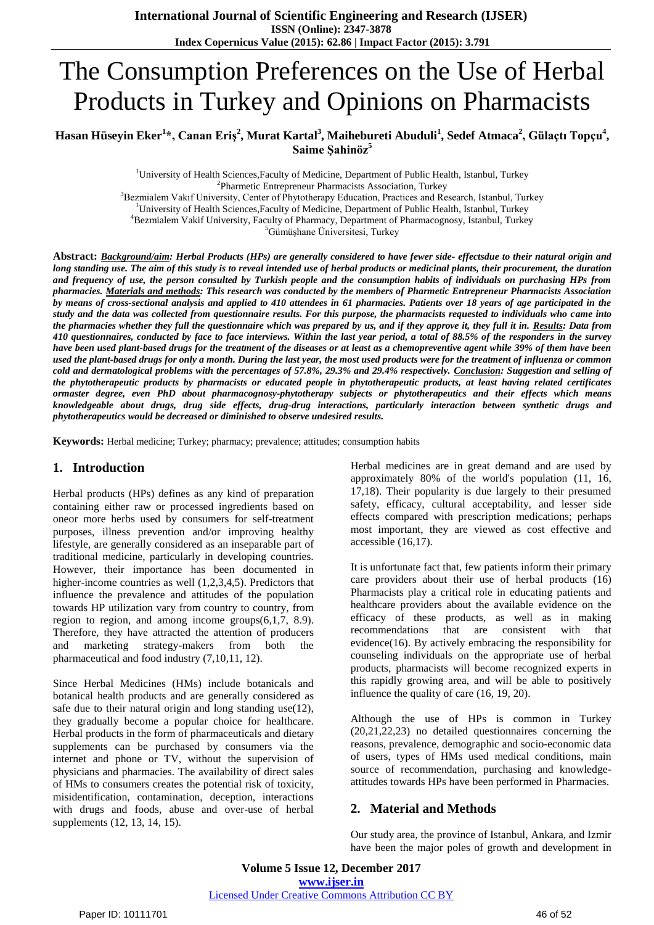# The Consumption Preferences on the Use of Herbal Products in Turkey and Opinions on Pharmacists

 $\bf{H}$ asan Hüseyin Eker $\rm{^{1}*},$  Canan Eriş $\rm{^{2}},$  Murat Kartal $\rm{^{3}},$  Maihebureti Abuduli $\rm{^{1}},$  Sedef Atmaca $\rm{^{2}},$  Gülaçtı Topçu $\rm{^{4}},$ **Saime Şahinöz<sup>5</sup>**

> <sup>1</sup>University of Health Sciences,Faculty of Medicine, Department of Public Health, Istanbul, Turkey <sup>2</sup>Pharmetic Entrepreneur Pharmacists Association, Turkey <sup>3</sup>Bezmialem Vakıf University, Center of Phytotherapy Education, Practices and Research, Istanbul, Turkey

<sup>1</sup>University of Health Sciences,Faculty of Medicine, Department of Public Health, Istanbul, Turkey <sup>4</sup>Bezmialem Vakif University, Faculty of Pharmacy, Department of Pharmacognosy, Istanbul, Turkey

<sup>5</sup>Gümüşhane Üniversitesi, Turkey

**Abstract:** *Background/aim: Herbal Products (HPs) are generally considered to have fewer side- effectsdue to their natural origin and long standing use. The aim of this study is to reveal intended use of herbal products or medicinal plants, their procurement, the duration and frequency of use, the person consulted by Turkish people and the consumption habits of individuals on purchasing HPs from pharmacies. Materials and methods: This research was conducted by the members of Pharmetic Entrepreneur Pharmacists Association by means of cross-sectional analysis and applied to 410 attendees in 61 pharmacies. Patients over 18 years of age participated in the study and the data was collected from questionnaire results. For this purpose, the pharmacists requested to individuals who came into the pharmacies whether they full the questionnaire which was prepared by us, and if they approve it, they full it in. Results: Data from 410 questionnaires, conducted by face to face interviews. Within the last year period, a total of 88.5% of the responders in the survey have been used plant-based drugs for the treatment of the diseases or at least as a chemopreventive agent while 39% of them have been used the plant-based drugs for only a month. During the last year, the most used products were for the treatment of influenza or common cold and dermatological problems with the percentages of 57.8%, 29.3% and 29.4% respectively. Conclusion: Suggestion and selling of* the phytotherapeutic products by pharmacists or educated people in phytotherapeutic products, at least having related certificates *ormaster degree, even PhD about pharmacognosy-phytotherapy subjects or phytotherapeutics and their effects which means knowledgeable about drugs, drug side effects, drug-drug interactions, particularly interaction between synthetic drugs and phytotherapeutics would be decreased or diminished to observe undesired results.*

**Keywords:** Herbal medicine; Turkey; pharmacy; prevalence; attitudes; consumption habits

#### **1. Introduction**

Herbal products (HPs) defines as any kind of preparation containing either raw or processed ingredients based on oneor more herbs used by consumers for self-treatment purposes, illness prevention and/or improving healthy lifestyle, are generally considered as an inseparable part of traditional medicine, particularly in developing countries. However, their importance has been documented in higher-income countries as well  $(1,2,3,4,5)$ . Predictors that influence the prevalence and attitudes of the population towards HP utilization vary from country to country, from region to region, and among income groups(6,1,7, 8.9). Therefore, they have attracted the attention of producers and marketing strategy-makers from both the pharmaceutical and food industry (7,10,11, 12).

Since Herbal Medicines (HMs) include botanicals and botanical health products and are generally considered as safe due to their natural origin and long standing use  $(12)$ , they gradually become a popular choice for healthcare. Herbal products in the form of pharmaceuticals and dietary supplements can be purchased by consumers via the internet and phone or TV, without the supervision of physicians and pharmacies. The availability of direct sales of HMs to consumers creates the potential risk of toxicity, misidentification, contamination, deception, interactions with drugs and foods, abuse and over-use of herbal supplements (12, 13, 14, 15).

Herbal medicines are in great demand and are used by approximately 80% of the world's population (11, 16, 17,18). Their popularity is due largely to their presumed safety, efficacy, cultural acceptability, and lesser side effects compared with prescription medications; perhaps most important, they are viewed as cost effective and accessible (16,17).

It is unfortunate fact that, few patients inform their primary care providers about their use of herbal products (16) Pharmacists play a critical role in educating patients and healthcare providers about the available evidence on the efficacy of these products, as well as in making recommendations that are consistent with that evidence(16). By actively embracing the responsibility for counseling individuals on the appropriate use of herbal products, pharmacists will become recognized experts in this rapidly growing area, and will be able to positively influence the quality of care (16, 19, 20).

Although the use of HPs is common in Turkey (20,21,22,23) no detailed questionnaires concerning the reasons, prevalence, demographic and socio-economic data of users, types of HMs used medical conditions, main source of recommendation, purchasing and knowledgeattitudes towards HPs have been performed in Pharmacies.

#### **2. Material and Methods**

Our study area, the province of Istanbul, Ankara, and Izmir have been the major poles of growth and development in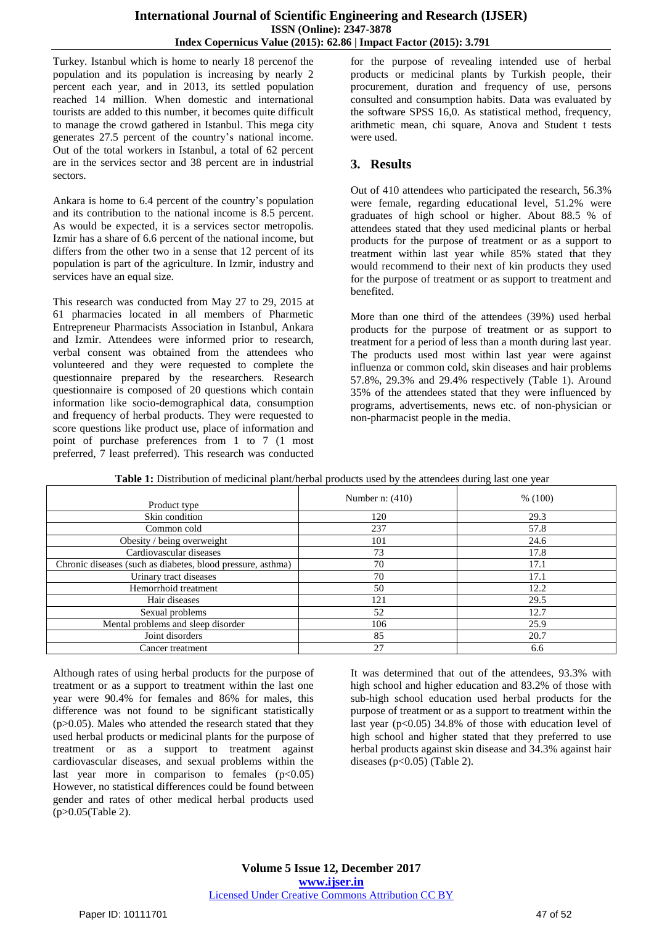Turkey. Istanbul which is home to nearly 18 percenof the population and its population is increasing by nearly 2 percent each year, and in 2013, its settled population reached 14 million. When domestic and international tourists are added to this number, it becomes quite difficult to manage the crowd gathered in Istanbul. This mega city generates 27.5 percent of the country's national income. Out of the total workers in Istanbul, a total of 62 percent are in the services sector and 38 percent are in industrial sectors.

Ankara is home to 6.4 percent of the country's population and its contribution to the national income is 8.5 percent. As would be expected, it is a services sector metropolis. Izmir has a share of 6.6 percent of the national income, but differs from the other two in a sense that 12 percent of its population is part of the agriculture. In Izmir, industry and services have an equal size.

This research was conducted from May 27 to 29, 2015 at 61 pharmacies located in all members of Pharmetic Entrepreneur Pharmacists Association in Istanbul, Ankara and Izmir. Attendees were informed prior to research, verbal consent was obtained from the attendees who volunteered and they were requested to complete the questionnaire prepared by the researchers. Research questionnaire is composed of 20 questions which contain information like socio-demographical data, consumption and frequency of herbal products. They were requested to score questions like product use, place of information and point of purchase preferences from 1 to 7 (1 most preferred, 7 least preferred). This research was conducted

for the purpose of revealing intended use of herbal products or medicinal plants by Turkish people, their procurement, duration and frequency of use, persons consulted and consumption habits. Data was evaluated by the software SPSS 16,0. As statistical method, frequency, arithmetic mean, chi square, Anova and Student t tests were used.

## **3. Results**

Out of 410 attendees who participated the research, 56.3% were female, regarding educational level, 51.2% were graduates of high school or higher. About 88.5 % of attendees stated that they used medicinal plants or herbal products for the purpose of treatment or as a support to treatment within last year while 85% stated that they would recommend to their next of kin products they used for the purpose of treatment or as support to treatment and benefited.

More than one third of the attendees (39%) used herbal products for the purpose of treatment or as support to treatment for a period of less than a month during last year. The products used most within last year were against influenza or common cold, skin diseases and hair problems 57.8%, 29.3% and 29.4% respectively (Table 1). Around 35% of the attendees stated that they were influenced by programs, advertisements, news etc. of non-physician or non-pharmacist people in the media.

| Product type                                                | Number n: $(410)$ | % (100) |
|-------------------------------------------------------------|-------------------|---------|
| Skin condition                                              | 120               | 29.3    |
| Common cold                                                 | 237               | 57.8    |
| Obesity / being overweight                                  | 101               | 24.6    |
| Cardiovascular diseases                                     | 73                | 17.8    |
| Chronic diseases (such as diabetes, blood pressure, asthma) | 70                | 17.1    |
| Urinary tract diseases                                      | 70                | 17.1    |
| Hemorrhoid treatment                                        | 50                | 12.2    |
| Hair diseases                                               | 121               | 29.5    |
| Sexual problems                                             | 52                | 12.7    |
| Mental problems and sleep disorder                          | 106               | 25.9    |
| Joint disorders                                             | 85                | 20.7    |
| Cancer treatment                                            | 27                | 6.6     |

|  |  |  |  |  |  | Table 1: Distribution of medicinal plant/herbal products used by the attendees during last one year |  |  |
|--|--|--|--|--|--|-----------------------------------------------------------------------------------------------------|--|--|
|--|--|--|--|--|--|-----------------------------------------------------------------------------------------------------|--|--|

Although rates of using herbal products for the purpose of treatment or as a support to treatment within the last one year were 90.4% for females and 86% for males, this difference was not found to be significant statistically  $(p>0.05)$ . Males who attended the research stated that they used herbal products or medicinal plants for the purpose of treatment or as a support to treatment against cardiovascular diseases, and sexual problems within the last year more in comparison to females  $(p<0.05)$ However, no statistical differences could be found between gender and rates of other medical herbal products used (p>0.05(Table 2).

It was determined that out of the attendees, 93.3% with high school and higher education and 83.2% of those with sub-high school education used herbal products for the purpose of treatment or as a support to treatment within the last year ( $p<0.05$ ) 34.8% of those with education level of high school and higher stated that they preferred to use herbal products against skin disease and 34.3% against hair diseases ( $p<0.05$ ) (Table 2).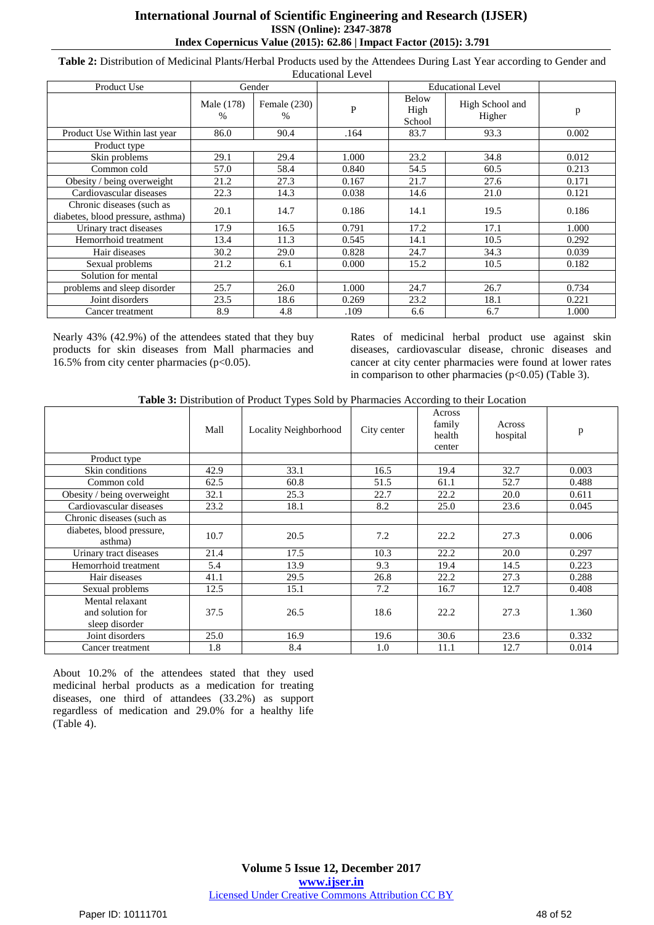#### **International Journal of Scientific Engineering and Research (IJSER) ISSN (Online): 2347-3878 Index Copernicus Value (2015): 62.86 | Impact Factor (2015): 3.791**

**Table 2:** Distribution of Medicinal Plants/Herbal Products used by the Attendees During Last Year according to Gender and

| Educational Level                                              |                    |                        |              |                                |                           |       |
|----------------------------------------------------------------|--------------------|------------------------|--------------|--------------------------------|---------------------------|-------|
| Product Use                                                    | Gender             |                        |              | <b>Educational Level</b>       |                           |       |
|                                                                | Male (178)<br>$\%$ | Female $(230)$<br>$\%$ | $\mathbf{P}$ | <b>Below</b><br>High<br>School | High School and<br>Higher | p     |
| Product Use Within last year                                   | 86.0               | 90.4                   | .164         | 83.7                           | 93.3                      | 0.002 |
| Product type                                                   |                    |                        |              |                                |                           |       |
| Skin problems                                                  | 29.1               | 29.4                   | 1.000        | 23.2                           | 34.8                      | 0.012 |
| Common cold                                                    | 57.0               | 58.4                   | 0.840        | 54.5                           | 60.5                      | 0.213 |
| Obesity / being overweight                                     | 21.2               | 27.3                   | 0.167        | 21.7                           | 27.6                      | 0.171 |
| Cardiovascular diseases                                        | 22.3               | 14.3                   | 0.038        | 14.6                           | 21.0                      | 0.121 |
| Chronic diseases (such as<br>diabetes, blood pressure, asthma) | 20.1               | 14.7                   | 0.186        | 14.1                           | 19.5                      | 0.186 |
| Urinary tract diseases                                         | 17.9               | 16.5                   | 0.791        | 17.2                           | 17.1                      | 1.000 |
| Hemorrhoid treatment                                           | 13.4               | 11.3                   | 0.545        | 14.1                           | 10.5                      | 0.292 |
| Hair diseases                                                  | 30.2               | 29.0                   | 0.828        | 24.7                           | 34.3                      | 0.039 |
| Sexual problems                                                | 21.2               | 6.1                    | 0.000        | 15.2                           | 10.5                      | 0.182 |
| Solution for mental                                            |                    |                        |              |                                |                           |       |
| problems and sleep disorder                                    | 25.7               | 26.0                   | 1.000        | 24.7                           | 26.7                      | 0.734 |
| Joint disorders                                                | 23.5               | 18.6                   | 0.269        | 23.2                           | 18.1                      | 0.221 |
| Cancer treatment                                               | 8.9                | 4.8                    | .109         | 6.6                            | 6.7                       | 1.000 |

Nearly 43% (42.9%) of the attendees stated that they buy products for skin diseases from Mall pharmacies and 16.5% from city center pharmacies (p<0.05).

Rates of medicinal herbal product use against skin diseases, cardiovascular disease, chronic diseases and cancer at city center pharmacies were found at lower rates in comparison to other pharmacies ( $p<0.05$ ) (Table 3).

**Table 3:** Distribution of Product Types Sold by Pharmacies According to their Location

|                                                       | Mall | Locality Neighborhood | City center | Across<br>family<br>health<br>center | Across<br>hospital | p     |
|-------------------------------------------------------|------|-----------------------|-------------|--------------------------------------|--------------------|-------|
| Product type                                          |      |                       |             |                                      |                    |       |
| Skin conditions                                       | 42.9 | 33.1                  | 16.5        | 19.4                                 | 32.7               | 0.003 |
| Common cold                                           | 62.5 | 60.8                  | 51.5        | 61.1                                 | 52.7               | 0.488 |
| Obesity / being overweight                            | 32.1 | 25.3                  | 22.7        | 22.2                                 | 20.0               | 0.611 |
| Cardiovascular diseases                               | 23.2 | 18.1                  | 8.2         | 25.0                                 | 23.6               | 0.045 |
| Chronic diseases (such as                             |      |                       |             |                                      |                    |       |
| diabetes, blood pressure,<br>asthma)                  | 10.7 | 20.5                  | 7.2         | 22.2                                 | 27.3               | 0.006 |
| Urinary tract diseases                                | 21.4 | 17.5                  | 10.3        | 22.2                                 | 20.0               | 0.297 |
| Hemorrhoid treatment                                  | 5.4  | 13.9                  | 9.3         | 19.4                                 | 14.5               | 0.223 |
| Hair diseases                                         | 41.1 | 29.5                  | 26.8        | 22.2                                 | 27.3               | 0.288 |
| Sexual problems                                       | 12.5 | 15.1                  | 7.2         | 16.7                                 | 12.7               | 0.408 |
| Mental relaxant<br>and solution for<br>sleep disorder | 37.5 | 26.5                  | 18.6        | 22.2                                 | 27.3               | 1.360 |
| Joint disorders                                       | 25.0 | 16.9                  | 19.6        | 30.6                                 | 23.6               | 0.332 |
| Cancer treatment                                      | 1.8  | 8.4                   | 1.0         | 11.1                                 | 12.7               | 0.014 |

About 10.2% of the attendees stated that they used medicinal herbal products as a medication for treating diseases, one third of attandees (33.2%) as support regardless of medication and 29.0% for a healthy life (Table 4).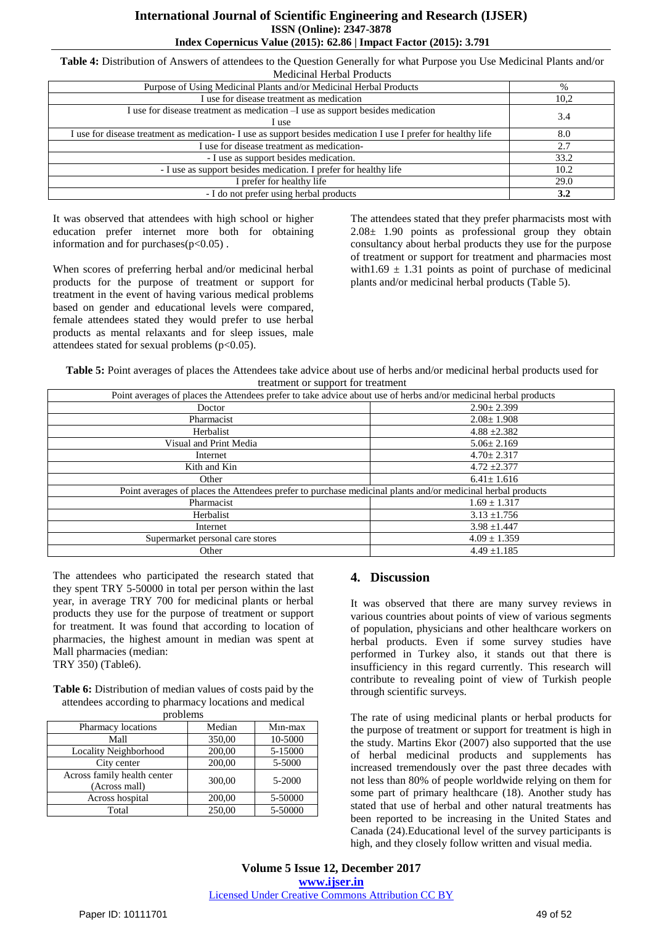#### **International Journal of Scientific Engineering and Research (IJSER) ISSN (Online): 2347-3878 Index Copernicus Value (2015): 62.86 | Impact Factor (2015): 3.791**

**Table 4:** Distribution of Answers of attendees to the Question Generally for what Purpose you Use Medicinal Plants and/or Medicinal Herbal Products

| wican mar Tichoal I Tougles                                                                                    |      |
|----------------------------------------------------------------------------------------------------------------|------|
| Purpose of Using Medicinal Plants and/or Medicinal Herbal Products                                             | $\%$ |
| I use for disease treatment as medication                                                                      | 10,2 |
| I use for disease treatment as medication -I use as support besides medication<br>I use                        | 3.4  |
| I use for disease treatment as medication- I use as support besides medication I use I prefer for healthy life | 8.0  |
| I use for disease treatment as medication-                                                                     | 2.7  |
| - I use as support besides medication.                                                                         | 33.2 |
| - I use as support besides medication. I prefer for healthy life                                               | 10.2 |
| I prefer for healthy life                                                                                      | 29.0 |
| - I do not prefer using herbal products                                                                        | 3.2  |

It was observed that attendees with high school or higher education prefer internet more both for obtaining information and for purchases $(p<0.05)$ .

When scores of preferring herbal and/or medicinal herbal products for the purpose of treatment or support for treatment in the event of having various medical problems based on gender and educational levels were compared, female attendees stated they would prefer to use herbal products as mental relaxants and for sleep issues, male attendees stated for sexual problems  $(p<0.05)$ .

The attendees stated that they prefer pharmacists most with  $2.08 \pm 1.90$  points as professional group they obtain consultancy about herbal products they use for the purpose of treatment or support for treatment and pharmacies most with1.69  $\pm$  1.31 points as point of purchase of medicinal plants and/or medicinal herbal products (Table 5).

**Table 5:** Point averages of places the Attendees take advice about use of herbs and/or medicinal herbal products used for treatment or support for treatment

| Point averages of places the Attendees prefer to take advice about use of herbs and/or medicinal herbal products |                  |  |  |  |
|------------------------------------------------------------------------------------------------------------------|------------------|--|--|--|
| Doctor                                                                                                           | $2.90 \pm 2.399$ |  |  |  |
| Pharmacist                                                                                                       | $2.08 \pm 1.908$ |  |  |  |
| Herbalist                                                                                                        | $4.88 \pm 2.382$ |  |  |  |
| Visual and Print Media                                                                                           | $5.06 \pm 2.169$ |  |  |  |
| Internet                                                                                                         | $4.70 \pm 2.317$ |  |  |  |
| Kith and Kin                                                                                                     | $4.72 \pm 2.377$ |  |  |  |
| Other                                                                                                            | $6.41 \pm 1.616$ |  |  |  |
| Point averages of places the Attendees prefer to purchase medicinal plants and/or medicinal herbal products      |                  |  |  |  |
| Pharmacist                                                                                                       | $1.69 \pm 1.317$ |  |  |  |
| Herbalist                                                                                                        | $3.13 \pm 1.756$ |  |  |  |
| Internet                                                                                                         | $3.98 \pm 1.447$ |  |  |  |
| Supermarket personal care stores                                                                                 | $4.09 \pm 1.359$ |  |  |  |
| Other                                                                                                            | $4.49 \pm 1.185$ |  |  |  |

The attendees who participated the research stated that they spent TRY 5-50000 in total per person within the last year, in average TRY 700 for medicinal plants or herbal products they use for the purpose of treatment or support for treatment. It was found that according to location of pharmacies, the highest amount in median was spent at Mall pharmacies (median:

TRY 350) (Table6).

| <b>Table 6:</b> Distribution of median values of costs paid by the |
|--------------------------------------------------------------------|
| attendees according to pharmacy locations and medical              |
| problems                                                           |

| Median | $M_1n-max$ |  |  |  |  |
|--------|------------|--|--|--|--|
| 350,00 | 10-5000    |  |  |  |  |
| 200,00 | 5-15000    |  |  |  |  |
| 200,00 | 5-5000     |  |  |  |  |
| 300,00 | 5-2000     |  |  |  |  |
| 200,00 | 5-50000    |  |  |  |  |
| 250,00 | 5-50000    |  |  |  |  |
|        |            |  |  |  |  |

## **4. Discussion**

It was observed that there are many survey reviews in various countries about points of view of various segments of population, physicians and other healthcare workers on herbal products. Even if some survey studies have performed in Turkey also, it stands out that there is insufficiency in this regard currently. This research will contribute to revealing point of view of Turkish people through scientific surveys.

The rate of using medicinal plants or herbal products for the purpose of treatment or support for treatment is high in the study. Martins Ekor (2007) also supported that the use of herbal medicinal products and supplements has increased tremendously over the past three decades with not less than 80% of people worldwide relying on them for some part of primary healthcare (18). Another study has stated that use of herbal and other natural treatments has been reported to be increasing in the United States and Canada (24).Educational level of the survey participants is high, and they closely follow written and visual media.

**Volume 5 Issue 12, December 2017 <www.ijser.in>** [Licensed Under Creative Commons Attribution CC BY](http://creativecommons.org/licenses/by/4.0/)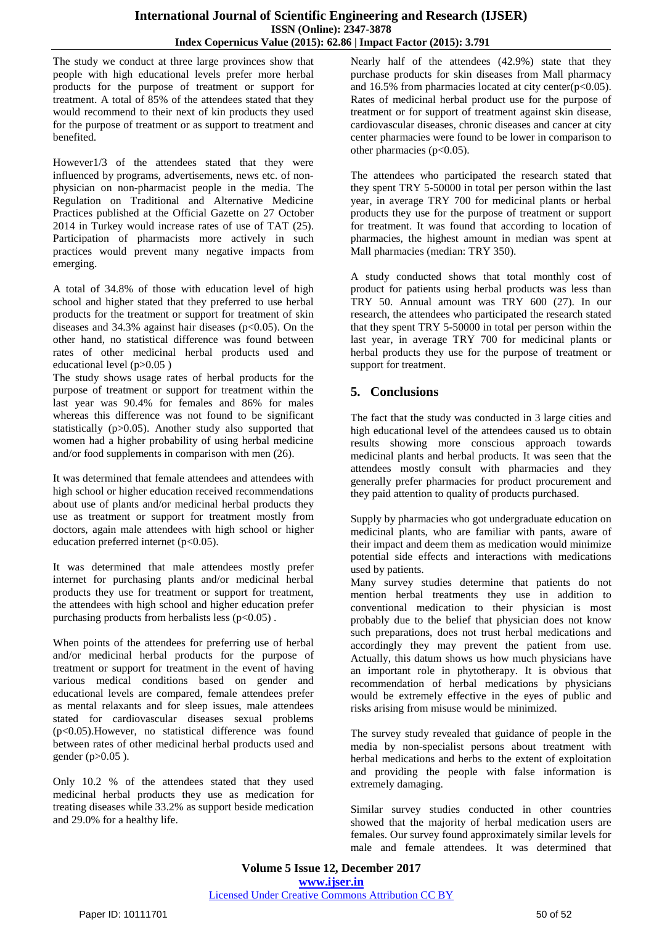The study we conduct at three large provinces show that people with high educational levels prefer more herbal products for the purpose of treatment or support for treatment. A total of 85% of the attendees stated that they would recommend to their next of kin products they used for the purpose of treatment or as support to treatment and benefited.

However1/3 of the attendees stated that they were influenced by programs, advertisements, news etc. of nonphysician on non-pharmacist people in the media. The Regulation on Traditional and Alternative Medicine Practices published at the Official Gazette on 27 October 2014 in Turkey would increase rates of use of TAT (25). Participation of pharmacists more actively in such practices would prevent many negative impacts from emerging.

A total of 34.8% of those with education level of high school and higher stated that they preferred to use herbal products for the treatment or support for treatment of skin diseases and  $34.3\%$  against hair diseases ( $p<0.05$ ). On the other hand, no statistical difference was found between rates of other medicinal herbal products used and educational level (p>0.05 )

The study shows usage rates of herbal products for the purpose of treatment or support for treatment within the last year was 90.4% for females and 86% for males whereas this difference was not found to be significant statistically (p>0.05). Another study also supported that women had a higher probability of using herbal medicine and/or food supplements in comparison with men (26).

It was determined that female attendees and attendees with high school or higher education received recommendations about use of plants and/or medicinal herbal products they use as treatment or support for treatment mostly from doctors, again male attendees with high school or higher education preferred internet  $(p<0.05)$ .

It was determined that male attendees mostly prefer internet for purchasing plants and/or medicinal herbal products they use for treatment or support for treatment, the attendees with high school and higher education prefer purchasing products from herbalists less  $(p<0.05)$ .

When points of the attendees for preferring use of herbal and/or medicinal herbal products for the purpose of treatment or support for treatment in the event of having various medical conditions based on gender and educational levels are compared, female attendees prefer as mental relaxants and for sleep issues, male attendees stated for cardiovascular diseases sexual problems (p<0.05).However, no statistical difference was found between rates of other medicinal herbal products used and gender (p>0.05 ).

Only 10.2 % of the attendees stated that they used medicinal herbal products they use as medication for treating diseases while 33.2% as support beside medication and 29.0% for a healthy life.

Nearly half of the attendees (42.9%) state that they purchase products for skin diseases from Mall pharmacy and 16.5% from pharmacies located at city center( $p<0.05$ ). Rates of medicinal herbal product use for the purpose of treatment or for support of treatment against skin disease, cardiovascular diseases, chronic diseases and cancer at city center pharmacies were found to be lower in comparison to other pharmacies ( $p<0.05$ ).

The attendees who participated the research stated that they spent TRY 5-50000 in total per person within the last year, in average TRY 700 for medicinal plants or herbal products they use for the purpose of treatment or support for treatment. It was found that according to location of pharmacies, the highest amount in median was spent at Mall pharmacies (median: TRY 350).

A study conducted shows that total monthly cost of product for patients using herbal products was less than TRY 50. Annual amount was TRY 600 (27). In our research, the attendees who participated the research stated that they spent TRY 5-50000 in total per person within the last year, in average TRY 700 for medicinal plants or herbal products they use for the purpose of treatment or support for treatment.

## **5. Conclusions**

The fact that the study was conducted in 3 large cities and high educational level of the attendees caused us to obtain results showing more conscious approach towards medicinal plants and herbal products. It was seen that the attendees mostly consult with pharmacies and they generally prefer pharmacies for product procurement and they paid attention to quality of products purchased.

Supply by pharmacies who got undergraduate education on medicinal plants, who are familiar with pants, aware of their impact and deem them as medication would minimize potential side effects and interactions with medications used by patients.

Many survey studies determine that patients do not mention herbal treatments they use in addition to conventional medication to their physician is most probably due to the belief that physician does not know such preparations, does not trust herbal medications and accordingly they may prevent the patient from use. Actually, this datum shows us how much physicians have an important role in phytotherapy. It is obvious that recommendation of herbal medications by physicians would be extremely effective in the eyes of public and risks arising from misuse would be minimized.

The survey study revealed that guidance of people in the media by non-specialist persons about treatment with herbal medications and herbs to the extent of exploitation and providing the people with false information is extremely damaging.

Similar survey studies conducted in other countries showed that the majority of herbal medication users are females. Our survey found approximately similar levels for male and female attendees. It was determined that

**Volume 5 Issue 12, December 2017 <www.ijser.in>** [Licensed Under Creative Commons Attribution CC BY](http://creativecommons.org/licenses/by/4.0/)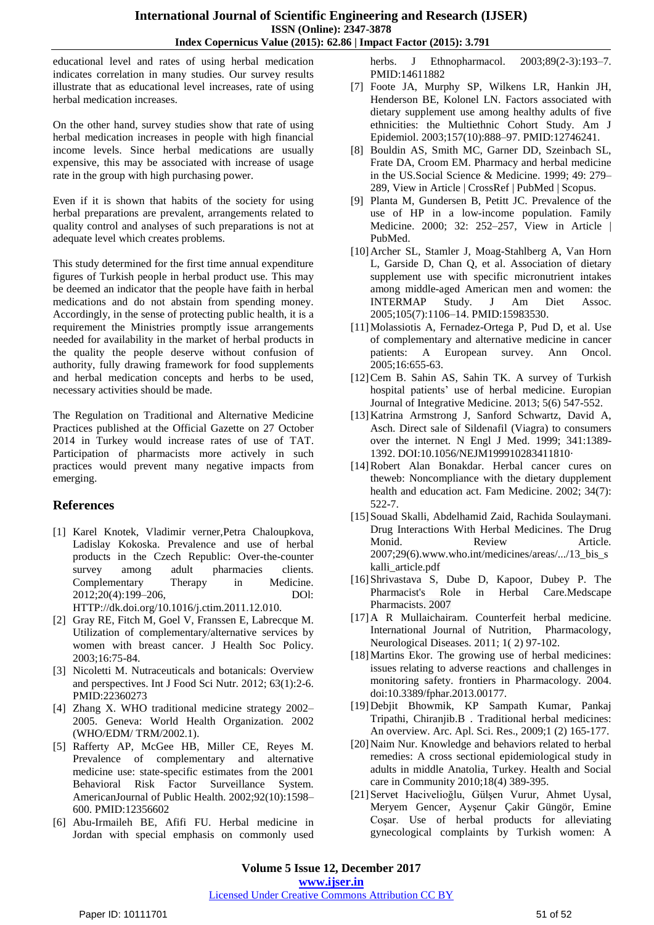educational level and rates of using herbal medication indicates correlation in many studies. Our survey results illustrate that as educational level increases, rate of using herbal medication increases.

On the other hand, survey studies show that rate of using herbal medication increases in people with high financial income levels. Since herbal medications are usually expensive, this may be associated with increase of usage rate in the group with high purchasing power.

Even if it is shown that habits of the society for using herbal preparations are prevalent, arrangements related to quality control and analyses of such preparations is not at adequate level which creates problems.

This study determined for the first time annual expenditure figures of Turkish people in herbal product use. This may be deemed an indicator that the people have faith in herbal medications and do not abstain from spending money. Accordingly, in the sense of protecting public health, it is a requirement the Ministries promptly issue arrangements needed for availability in the market of herbal products in the quality the people deserve without confusion of authority, fully drawing framework for food supplements and herbal medication concepts and herbs to be used, necessary activities should be made.

The Regulation on Traditional and Alternative Medicine Practices published at the Official Gazette on 27 October 2014 in Turkey would increase rates of use of TAT. Participation of pharmacists more actively in such practices would prevent many negative impacts from emerging.

#### **References**

- [1] Karel Knotek, Vladimir verner,Petra [Chaloupkova,](javascript:void(0);) Ladislay Kokoska. Prevalence and use of herbal products in the Czech Republic: Over-the-counter survey among adult pharmacies clients. Complementary Therapy in Medicine. 2012;20(4):199–206, DOl: HTTP://dk.doi.org/10.1016/j.ctim.2011.12.010.
- [2] Gray RE, Fitch M, Goel V, Franssen E, Labrecque M. Utilization of complementary/alternative services by women with breast cancer. J Health Soc Policy. 2003;16:75-84.
- [3] Nicoletti M. Nutraceuticals and botanicals: Overview and perspectives. Int J Food Sci Nutr. 2012; 63(1):2-6. PMID:22360273
- [4] Zhang X. WHO traditional medicine strategy 2002– 2005. Geneva: World Health Organization. 2002 (WHO/EDM/ TRM/2002.1).
- [5] Rafferty AP, McGee HB, Miller CE, Reyes M. Prevalence of complementary and alternative medicine use: state-specific estimates from the 2001 Behavioral Risk Factor Surveillance System. AmericanJournal of Public Health. 2002;92(10):1598– 600. PMID:12356602
- [6] Abu-Irmaileh BE, Afifi FU. Herbal medicine in Jordan with special emphasis on commonly used

herbs. J Ethnopharmacol. 2003;89(2-3):193-7. PMID:14611882

- [7] Foote JA, Murphy SP, Wilkens LR, Hankin JH, Henderson BE, Kolonel LN. Factors associated with dietary supplement use among healthy adults of five ethnicities: the Multiethnic Cohort Study. Am J Epidemiol. 2003;157(10):888–97. PMID:12746241.
- [8] Bouldin AS, Smith MC, Garner DD, Szeinbach SL, Frate DA, Croom EM. Pharmacy and herbal medicine in the US.Social Science & Medicine. 1999; 49: 279– 289, View in Article | [CrossRef](http://www.complementarytherapiesinmedicine.com/servlet/linkout?suffix=e_1_5_1_2_7_2&dbid=16&doi=10.1016/j.ctim.2011.12.010&key=10.1016%2FS0277-9536%2899%2900118-5&cf=) | [PubMed](http://www.complementarytherapiesinmedicine.com/servlet/linkout?suffix=e_1_5_1_2_7_2&dbid=8&doi=10.1016/j.ctim.2011.12.010&key=10414835&cf=) | Scopus.
- [9] Planta M, Gundersen B, Petitt JC. Prevalence of the use of HP in a low-income population. Family Medicine. 2000; 32: 252–257, View in Article | [PubMed.](http://www.complementarytherapiesinmedicine.com/servlet/linkout?suffix=e_1_5_1_2_8_2&dbid=8&doi=10.1016/j.ctim.2011.12.010&key=10782371&cf=)
- [10]Archer SL, Stamler J, Moag-Stahlberg A, Van Horn L, Garside D, Chan Q, et al. Association of dietary supplement use with specific micronutrient intakes among middle-aged American men and women: the INTERMAP Study. J Am Diet Assoc. 2005;105(7):1106–14. PMID:15983530.
- [11]Molassiotis A, Fernadez-Ortega P, Pud D, et al. Use of complementary and alternative medicine in cancer patients: A European survey. Ann Oncol. 2005;16:655-63.
- [12]Cem B. Sahin AS, Sahin TK. A survey of Turkish hospital patients' use of herbal medicine. Europian Journal of Integrative Medicine. 2013; 5(6) 547-552.
- [13]Katrina Armstrong J, Sanford Schwartz, David A, Asch. Direct sale of Sildenafil (Viagra) to consumers over the internet. N Engl J Med. 1999; 341:1389- 1392. DOI:10.1056/NEJM199910283411810·
- [14]Robert Alan Bonakdar. Herbal cancer cures on theweb: Noncompliance with the dietary dupplement health and education act. Fam Medicine. 2002; 34(7): 522-7.
- [15]Souad Skalli, Abdelhamid Zaid, Rachida Soulaymani. Drug Interactions With Herbal Medicines. The Drug Monid. Review Article. 2007;29(6).www.who.int/medicines/areas/.../13\_bis\_s kalli\_article.pdf
- [16]Shrivastava S, Dube D, Kapoor, Dubey P. The Pharmacist's Role in Herbal Care.Medscape Pharmacists. 2007
- [17]A R Mullaichairam. Counterfeit herbal medicine. International Journal of Nutrition, Pharmacology, Neurological Diseases. 2011; 1( 2) 97-102.
- [18] Martins Ekor. The growing use of herbal medicines: issues relating to adverse reactions and challenges in monitoring safety. frontiers in Pharmacology. 2004. doi:10.3389/fphar.2013.00177.
- [19]Debjit Bhowmik, KP Sampath Kumar, Pankaj Tripathi, Chiranjib.B . Traditional herbal medicines: An overview. Arc. Apl. Sci. Res., 2009;1 (2) 165-177.
- [20] Naim Nur. Knowledge and behaviors related to herbal remedies: A cross sectional epidemiological study in adults in middle Anatolia, Turkey. Health and Social care in Community 2010;18(4) 389-395.
- [21]Servet Hacivelioğlu, Gülşen Vurur, Ahmet Uysal, Meryem Gencer, Ayşenur Çakir Güngör, Emine Coşar. Use of herbal products for alleviating gynecological complaints by Turkish women: A